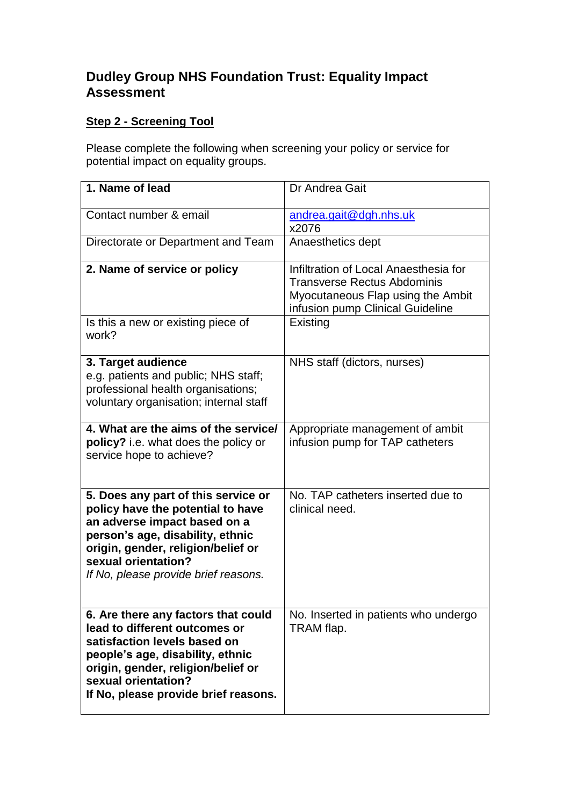# **Dudley Group NHS Foundation Trust: Equality Impact Assessment**

# **Step 2 - Screening Tool**

Please complete the following when screening your policy or service for potential impact on equality groups.

| 1. Name of lead                                                                                                                                                                                                                                   | Dr Andrea Gait                                                                                                                                       |
|---------------------------------------------------------------------------------------------------------------------------------------------------------------------------------------------------------------------------------------------------|------------------------------------------------------------------------------------------------------------------------------------------------------|
| Contact number & email                                                                                                                                                                                                                            | andrea.gait@dgh.nhs.uk<br>x2076                                                                                                                      |
| Directorate or Department and Team                                                                                                                                                                                                                | Anaesthetics dept                                                                                                                                    |
| 2. Name of service or policy                                                                                                                                                                                                                      | Infiltration of Local Anaesthesia for<br><b>Transverse Rectus Abdominis</b><br>Myocutaneous Flap using the Ambit<br>infusion pump Clinical Guideline |
| Is this a new or existing piece of<br>work?                                                                                                                                                                                                       | <b>Existing</b>                                                                                                                                      |
| 3. Target audience<br>e.g. patients and public; NHS staff;<br>professional health organisations;<br>voluntary organisation; internal staff                                                                                                        | NHS staff (dictors, nurses)                                                                                                                          |
| 4. What are the aims of the service/<br>policy? i.e. what does the policy or<br>service hope to achieve?                                                                                                                                          | Appropriate management of ambit<br>infusion pump for TAP catheters                                                                                   |
| 5. Does any part of this service or<br>policy have the potential to have<br>an adverse impact based on a<br>person's age, disability, ethnic<br>origin, gender, religion/belief or<br>sexual orientation?<br>If No, please provide brief reasons. | No. TAP catheters inserted due to<br>clinical need.                                                                                                  |
| 6. Are there any factors that could<br>lead to different outcomes or<br>satisfaction levels based on<br>people's age, disability, ethnic<br>origin, gender, religion/belief or<br>sexual orientation?<br>If No, please provide brief reasons.     | No. Inserted in patients who undergo<br>TRAM flap.                                                                                                   |